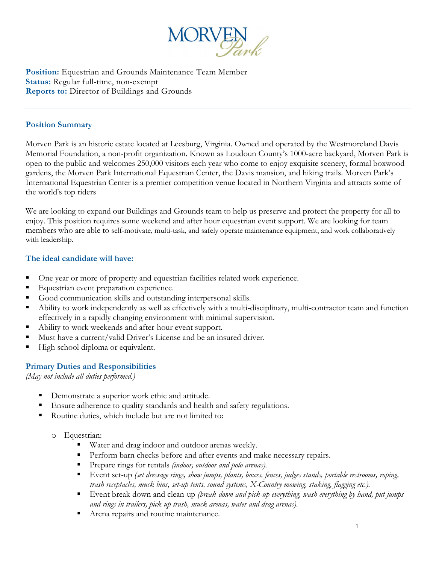

**Position:** Equestrian and Grounds Maintenance Team Member **Status:** Regular full-time, non-exempt **Reports to:** Director of Buildings and Grounds

#### **Position Summary**

Morven Park is an historic estate located at Leesburg, Virginia. Owned and operated by the Westmoreland Davis Memorial Foundation, a non-profit organization. Known as Loudoun County's 1000-acre backyard, Morven Park is open to the public and welcomes 250,000 visitors each year who come to enjoy exquisite scenery, formal boxwood gardens, the Morven Park International Equestrian Center, the Davis mansion, and hiking trails. Morven Park's International Equestrian Center is a premier competition venue located in Northern Virginia and attracts some of the world's top riders

We are looking to expand our Buildings and Grounds team to help us preserve and protect the property for all to enjoy. This position requires some weekend and after hour equestrian event support. We are looking for team members who are able to self-motivate, multi-task, and safely operate maintenance equipment, and work collaboratively with leadership.

#### **The ideal candidate will have:**

- One year or more of property and equestrian facilities related work experience.
- Equestrian event preparation experience.
- Good communication skills and outstanding interpersonal skills.
- Ability to work independently as well as effectively with a multi-disciplinary, multi-contractor team and function effectively in a rapidly changing environment with minimal supervision.
- Ability to work weekends and after-hour event support.
- Must have a current/valid Driver's License and be an insured driver.
- High school diploma or equivalent.

## **Primary Duties and Responsibilities**

*(May not include all duties performed.)*

- **Demonstrate a superior work ethic and attitude.**
- Ensure adherence to quality standards and health and safety regulations.
- Routine duties, which include but are not limited to:
	- o Equestrian:
		- Water and drag indoor and outdoor arenas weekly.
		- **Perform barn checks before and after events and make necessary repairs.**
		- Prepare rings for rentals *(indoor, outdoor and polo arenas).*
		- Event set-up *(set dressage rings, show jumps, plants, boxes, fences, judges stands, portable restrooms, roping, trash receptacles, muck bins, set-up tents, sound systems, X-Country mowing, staking, flagging etc.).*
		- Event break down and clean-up *(break down and pick-up everything, wash everything by hand, put jumps and rings in trailers, pick up trash, muck arenas, water and drag arenas).*
		- **Arena repairs and routine maintenance.**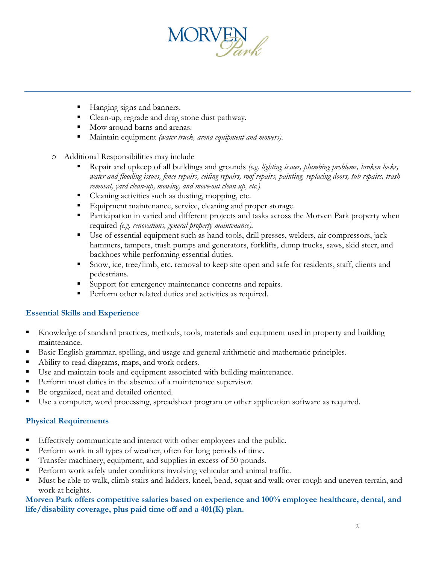

- Hanging signs and banners.
- Clean-up, regrade and drag stone dust pathway.
- $\blacksquare$  Mow around barns and arenas.
- Maintain equipment *(water truck, arena equipment and mowers).*
- o Additional Responsibilities may include
	- Repair and upkeep of all buildings and grounds *(e.g. lighting issues, plumbing problems, broken locks, water and flooding issues, fence repairs, ceiling repairs, roof repairs, painting, replacing doors, tub repairs, trash removal, yard clean-up, mowing, and move-out clean up, etc.).*
	- Cleaning activities such as dusting, mopping, etc.
	- Equipment maintenance, service, cleaning and proper storage.
	- **Participation in varied and different projects and tasks across the Morven Park property when** required *(e.g. renovations, general property maintenance).*
	- Use of essential equipment such as hand tools, drill presses, welders, air compressors, jack hammers, tampers, trash pumps and generators, forklifts, dump trucks, saws, skid steer, and backhoes while performing essential duties.
	- Snow, ice, tree/limb, etc. removal to keep site open and safe for residents, staff, clients and pedestrians.
	- Support for emergency maintenance concerns and repairs.
	- **Perform other related duties and activities as required.**

## **Essential Skills and Experience**

- Knowledge of standard practices, methods, tools, materials and equipment used in property and building maintenance.
- Basic English grammar, spelling, and usage and general arithmetic and mathematic principles.
- Ability to read diagrams, maps, and work orders.
- Use and maintain tools and equipment associated with building maintenance.
- Perform most duties in the absence of a maintenance supervisor.
- Be organized, neat and detailed oriented.
- Use a computer, word processing, spreadsheet program or other application software as required.

## **Physical Requirements**

- Effectively communicate and interact with other employees and the public.
- Perform work in all types of weather, often for long periods of time.
- Transfer machinery, equipment, and supplies in excess of 50 pounds.
- Perform work safely under conditions involving vehicular and animal traffic.
- Must be able to walk, climb stairs and ladders, kneel, bend, squat and walk over rough and uneven terrain, and work at heights.

#### **Morven Park offers competitive salaries based on experience and 100% employee healthcare, dental, and life/disability coverage, plus paid time off and a 401(K) plan.**